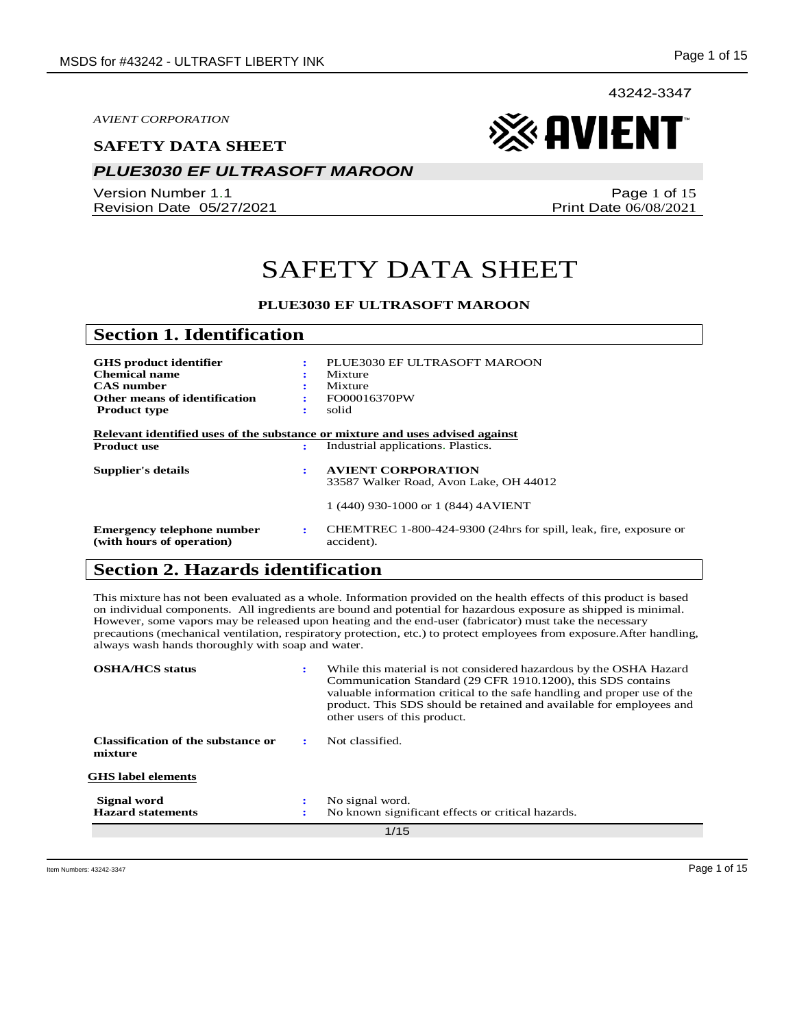#### **SAFETY DATA SHEET**

## *PLUE3030 EF ULTRASOFT MAROON*

Version Number 1.1 Revision Date 05/27/2021

Page 1 of 15 Print Date 06/08/2021

※AVIENT

43242-3347

# SAFETY DATA SHEET

#### **PLUE3030 EF ULTRASOFT MAROON**

| <b>Section 1. Identification</b>                                                                                                   |         |                                                                                                            |
|------------------------------------------------------------------------------------------------------------------------------------|---------|------------------------------------------------------------------------------------------------------------|
| <b>GHS</b> product identifier<br><b>Chemical name</b><br><b>CAS</b> number<br>Other means of identification<br><b>Product type</b> | ٠.<br>÷ | PLUE3030 EF ULTRASOFT MAROON<br>Mixture<br>Mixture<br>FO00016370PW<br>solid                                |
| Relevant identified uses of the substance or mixture and uses advised against<br><b>Product use</b>                                | ÷       | Industrial applications. Plastics.                                                                         |
| Supplier's details                                                                                                                 | ÷       | <b>AVIENT CORPORATION</b><br>33587 Walker Road, Avon Lake, OH 44012<br>1 (440) 930-1000 or 1 (844) 4AVIENT |
| <b>Emergency telephone number</b><br>(with hours of operation)                                                                     | ÷       | CHEMTREC 1-800-424-9300 (24hrs for spill, leak, fire, exposure or<br>accident).                            |

# **Section 2. Hazards identification**

This mixture has not been evaluated as a whole. Information provided on the health effects of this product is based on individual components. All ingredients are bound and potential for hazardous exposure as shipped is minimal. However, some vapors may be released upon heating and the end-user (fabricator) must take the necessary precautions (mechanical ventilation, respiratory protection, etc.) to protect employees from exposure.After handling, always wash hands thoroughly with soap and water.

| <b>OSHA/HCS</b> status                               | ÷ | While this material is not considered hazardous by the OSHA Hazard<br>Communication Standard (29 CFR 1910.1200), this SDS contains<br>valuable information critical to the safe handling and proper use of the<br>product. This SDS should be retained and available for employees and<br>other users of this product. |
|------------------------------------------------------|---|------------------------------------------------------------------------------------------------------------------------------------------------------------------------------------------------------------------------------------------------------------------------------------------------------------------------|
| <b>Classification of the substance or</b><br>mixture | ÷ | Not classified.                                                                                                                                                                                                                                                                                                        |
| <b>GHS</b> label elements                            |   |                                                                                                                                                                                                                                                                                                                        |
| Signal word                                          |   | No signal word.                                                                                                                                                                                                                                                                                                        |
| <b>Hazard statements</b>                             |   | No known significant effects or critical hazards.                                                                                                                                                                                                                                                                      |
| 1/15                                                 |   |                                                                                                                                                                                                                                                                                                                        |

Item Numbers: 43242-3347 Page 1 of 15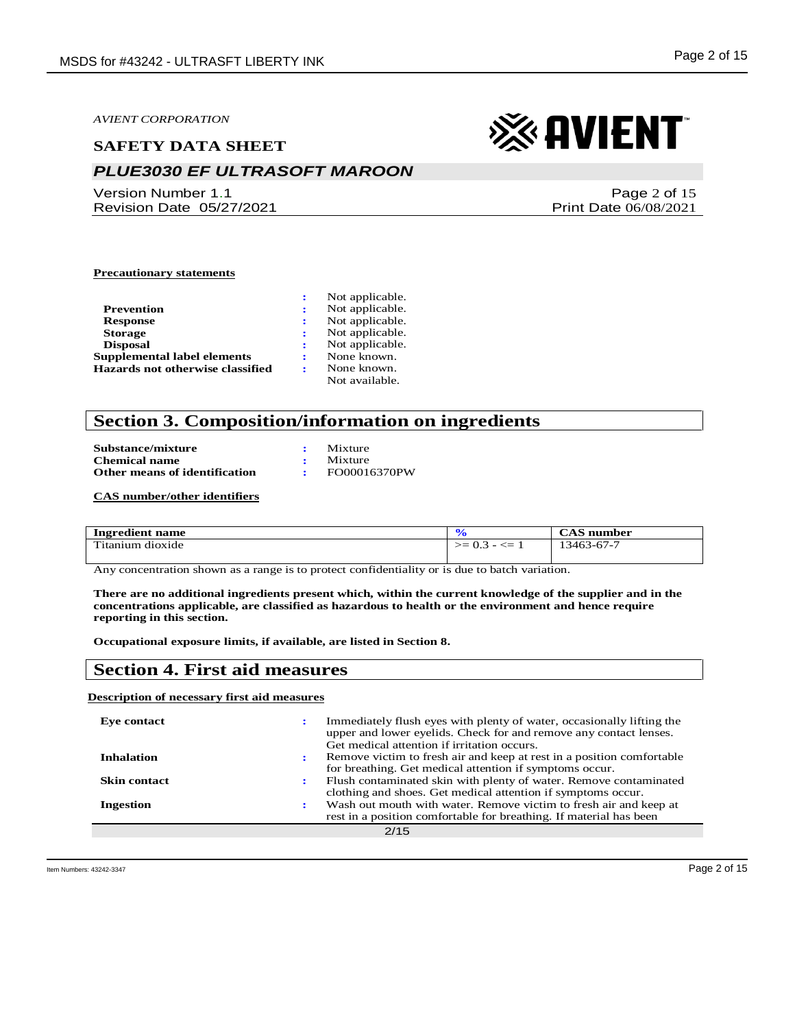### **SAFETY DATA SHEET**

# *PLUE3030 EF ULTRASOFT MAROON*

Version Number 1.1 Revision Date 05/27/2021

# ※ AVIENT

Page 2 of 15 Print Date 06/08/2021

#### **Precautionary statements**

|                                    | Not applicable. |
|------------------------------------|-----------------|
| Prevention                         | Not applicable. |
| <b>Response</b>                    | Not applicable. |
| <b>Storage</b>                     | Not applicable. |
| <b>Disposal</b>                    | Not applicable. |
| <b>Supplemental label elements</b> | None known.     |
| Hazards not otherwise classified   | None known.     |
|                                    | Not available.  |

## **Section 3. Composition/information on ingredients**

| Substance/mixture             | Mixture         |
|-------------------------------|-----------------|
| <b>Chemical name</b>          | $\cdot$ Mixture |
| Other means of identification | FO00016370PW    |

**CAS number/other identifiers**

| Ingredient name  |                                             | , number<br>CAS. |
|------------------|---------------------------------------------|------------------|
| Titanium dioxide | $\sim$ $\sim$<br>$- \leq =$<br>>≕<br>$-0.5$ | 13463-67-7       |

Any concentration shown as a range is to protect confidentiality or is due to batch variation.

**There are no additional ingredients present which, within the current knowledge of the supplier and in the concentrations applicable, are classified as hazardous to health or the environment and hence require reporting in this section.**

**Occupational exposure limits, if available, are listed in Section 8.**

### **Section 4. First aid measures**

#### **Description of necessary first aid measures**

| Eve contact         |    | Immediately flush eyes with plenty of water, occasionally lifting the<br>upper and lower eyelids. Check for and remove any contact lenses.<br>Get medical attention if irritation occurs. |
|---------------------|----|-------------------------------------------------------------------------------------------------------------------------------------------------------------------------------------------|
| <b>Inhalation</b>   |    | Remove victim to fresh air and keep at rest in a position comfortable<br>for breathing. Get medical attention if symptoms occur.                                                          |
| <b>Skin contact</b> | ٠. | Flush contaminated skin with plenty of water. Remove contaminated<br>clothing and shoes. Get medical attention if symptoms occur.                                                         |
| <b>Ingestion</b>    |    | Wash out mouth with water. Remove victim to fresh air and keep at<br>rest in a position comfortable for breathing. If material has been                                                   |
|                     |    | 2/15                                                                                                                                                                                      |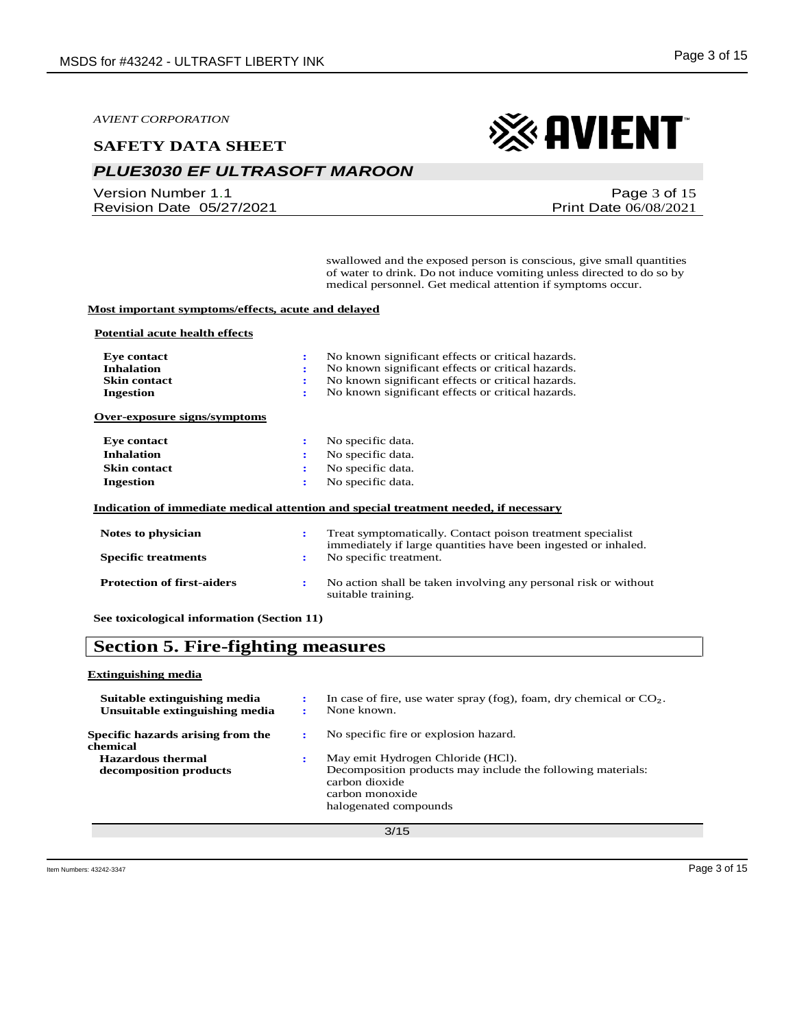### **SAFETY DATA SHEET**

# *PLUE3030 EF ULTRASOFT MAROON*

Version Number 1.1 Revision Date 05/27/2021

# ※ AVIENT

Page 3 of 15 Print Date 06/08/2021

swallowed and the exposed person is conscious, give small quantities of water to drink. Do not induce vomiting unless directed to do so by medical personnel. Get medical attention if symptoms occur.

#### **Most important symptoms/effects, acute and delayed**

#### **Potential acute health effects**

| <b>Eye contact</b><br><b>Inhalation</b><br><b>Skin contact</b><br><b>Ingestion</b> | No known significant effects or critical hazards.<br>÷<br>No known significant effects or critical hazards.<br>÷<br>No known significant effects or critical hazards.<br>÷<br>No known significant effects or critical hazards.<br>÷ |
|------------------------------------------------------------------------------------|--------------------------------------------------------------------------------------------------------------------------------------------------------------------------------------------------------------------------------------|
| Over-exposure signs/symptoms                                                       |                                                                                                                                                                                                                                      |
| <b>Eye contact</b>                                                                 | No specific data.<br>÷                                                                                                                                                                                                               |
| <b>Inhalation</b>                                                                  | No specific data.<br>÷                                                                                                                                                                                                               |
| <b>Skin contact</b>                                                                | No specific data.<br>٠.                                                                                                                                                                                                              |
| Ingestion                                                                          | No specific data.<br>÷                                                                                                                                                                                                               |
|                                                                                    | Indication of immediate medical attention and special treatment needed, if necessary                                                                                                                                                 |
| Notes to physician                                                                 | Treat symptomatically. Contact poison treatment specialist<br>÷<br>immediately if large quantities have been ingested or inhaled.                                                                                                    |
| <b>Specific treatments</b>                                                         | No specific treatment.<br>÷                                                                                                                                                                                                          |
| <b>Protection of first-aiders</b>                                                  | No action shall be taken involving any personal risk or without<br>÷<br>suitable training.                                                                                                                                           |

**See toxicological information (Section 11)**

## **Section 5. Fire-fighting measures**

#### **Extinguishing media**

| Suitable extinguishing media<br>Unsuitable extinguishing media | ٠.<br>÷              | In case of fire, use water spray (fog), foam, dry chemical or $CO2$ .<br>None known.                                                                           |
|----------------------------------------------------------------|----------------------|----------------------------------------------------------------------------------------------------------------------------------------------------------------|
| Specific hazards arising from the<br>chemical                  | $\ddot{\phantom{a}}$ | No specific fire or explosion hazard.                                                                                                                          |
| <b>Hazardous thermal</b><br>decomposition products             | ÷                    | May emit Hydrogen Chloride (HCl).<br>Decomposition products may include the following materials:<br>carbon dioxide<br>carbon monoxide<br>halogenated compounds |
|                                                                |                      | 3/15                                                                                                                                                           |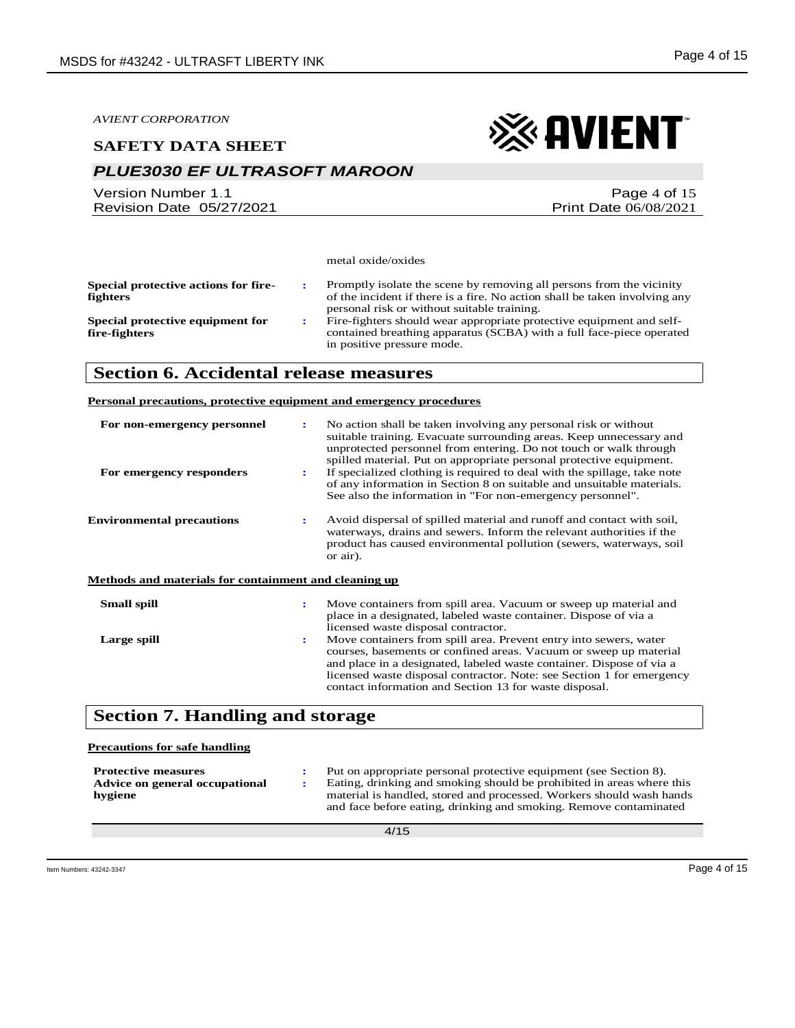### **SAFETY DATA SHEET**

# *PLUE3030 EF ULTRASOFT MAROON*

Version Number 1.1 Revision Date 05/27/2021



Page 4 of 15 Print Date 06/08/2021

metal oxide/oxides

| Special protective actions for fire-<br><b>fighters</b> |     | Promptly isolate the scene by removing all persons from the vicinity<br>of the incident if there is a fire. No action shall be taken involving any                                          |
|---------------------------------------------------------|-----|---------------------------------------------------------------------------------------------------------------------------------------------------------------------------------------------|
| Special protective equipment for<br>fire-fighters       | -21 | personal risk or without suitable training.<br>Fire-fighters should wear appropriate protective equipment and self-<br>contained breathing apparatus (SCBA) with a full face-piece operated |
|                                                         |     | in positive pressure mode.                                                                                                                                                                  |

# **Section 6. Accidental release measures**

#### **Personal precautions, protective equipment and emergency procedures**

| For non-emergency personnel<br>For emergency responders | ÷<br>÷ | No action shall be taken involving any personal risk or without<br>suitable training. Evacuate surrounding areas. Keep unnecessary and<br>unprotected personnel from entering. Do not touch or walk through<br>spilled material. Put on appropriate personal protective equipment.<br>If specialized clothing is required to deal with the spillage, take note |
|---------------------------------------------------------|--------|----------------------------------------------------------------------------------------------------------------------------------------------------------------------------------------------------------------------------------------------------------------------------------------------------------------------------------------------------------------|
|                                                         |        | of any information in Section 8 on suitable and unsuitable materials.<br>See also the information in "For non-emergency personnel".                                                                                                                                                                                                                            |
| <b>Environmental precautions</b>                        | ÷      | Avoid dispersal of spilled material and runoff and contact with soil,<br>waterways, drains and sewers. Inform the relevant authorities if the<br>product has caused environmental pollution (sewers, waterways, soil<br>or air).                                                                                                                               |
| Methods and materials for containment and cleaning up   |        |                                                                                                                                                                                                                                                                                                                                                                |
| <b>Small spill</b>                                      | ÷      | Move containers from spill area. Vacuum or sweep up material and<br>place in a designated, labeled waste container. Dispose of via a<br>licensed waste disposal contractor.                                                                                                                                                                                    |
| Large spill                                             | ٠.     | Move containers from spill area. Prevent entry into sewers, water<br>courses, basements or confined areas. Vacuum or sweep up material<br>and place in a designated, labeled waste container. Dispose of via a<br>licensed waste disposal contractor. Note: see Section 1 for emergency<br>contact information and Section 13 for waste disposal.              |

# **Section 7. Handling and storage**

| <b>Precautions for safe handling</b>                                    |                                                                                                                                                                                                                                                                                         |
|-------------------------------------------------------------------------|-----------------------------------------------------------------------------------------------------------------------------------------------------------------------------------------------------------------------------------------------------------------------------------------|
| <b>Protective measures</b><br>Advice on general occupational<br>hygiene | Put on appropriate personal protective equipment (see Section 8).<br>Eating, drinking and smoking should be prohibited in areas where this<br>material is handled, stored and processed. Workers should wash hands<br>and face before eating, drinking and smoking. Remove contaminated |
|                                                                         | $\cdot$ $\cdot$ $\cdot$ $\cdot$                                                                                                                                                                                                                                                         |

4/15

Item Numbers: 43242-3347 Page 4 of 15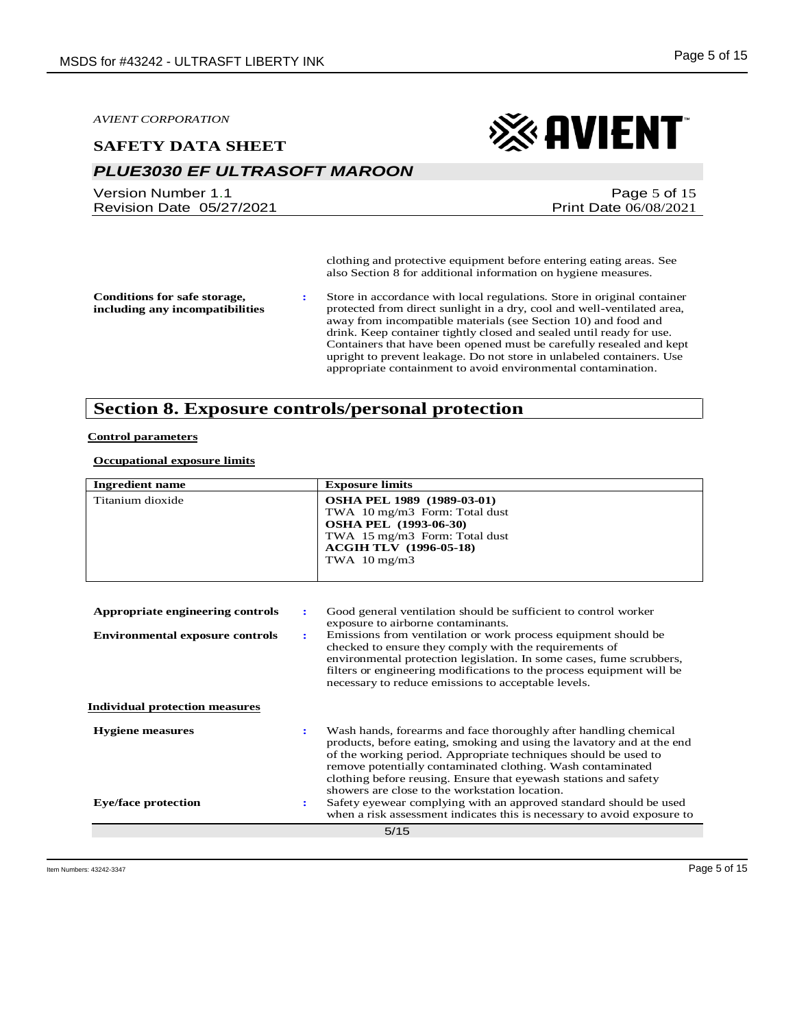### **SAFETY DATA SHEET**

# *PLUE3030 EF ULTRASOFT MAROON*

Version Number 1.1 Revision Date 05/27/2021

# ※ AVIENT

Page 5 of 15 Print Date 06/08/2021

clothing and protective equipment before entering eating areas. See also Section 8 for additional information on hygiene measures.

**Conditions for safe storage, including any incompatibilities** **:** Store in accordance with local regulations. Store in original container protected from direct sunlight in a dry, cool and well-ventilated area, away from incompatible materials (see Section 10) and food and drink. Keep container tightly closed and sealed until ready for use. Containers that have been opened must be carefully resealed and kept upright to prevent leakage. Do not store in unlabeled containers. Use appropriate containment to avoid environmental contamination.

# **Section 8. Exposure controls/personal protection**

#### **Control parameters**

#### **Occupational exposure limits**

| <b>Ingredient name</b>                                   | <b>Exposure limits</b>                                                                                                                                                                                                                                                                                                                                                                             |
|----------------------------------------------------------|----------------------------------------------------------------------------------------------------------------------------------------------------------------------------------------------------------------------------------------------------------------------------------------------------------------------------------------------------------------------------------------------------|
| Titanium dioxide                                         | <b>OSHA PEL 1989 (1989-03-01)</b><br>TWA 10 mg/m3 Form: Total dust<br><b>OSHA PEL (1993-06-30)</b><br>TWA 15 mg/m3 Form: Total dust<br><b>ACGIH TLV</b> (1996-05-18)<br>TWA $10 \text{ mg/m}$ 3                                                                                                                                                                                                    |
| Appropriate engineering controls<br>÷                    | Good general ventilation should be sufficient to control worker<br>exposure to airborne contaminants.                                                                                                                                                                                                                                                                                              |
| <b>Environmental exposure controls</b><br>$\ddot{\cdot}$ | Emissions from ventilation or work process equipment should be<br>checked to ensure they comply with the requirements of<br>environmental protection legislation. In some cases, fume scrubbers,<br>filters or engineering modifications to the process equipment will be<br>necessary to reduce emissions to acceptable levels.                                                                   |
| <b>Individual protection measures</b>                    |                                                                                                                                                                                                                                                                                                                                                                                                    |
| <b>Hygiene</b> measures<br>÷                             | Wash hands, forearms and face thoroughly after handling chemical<br>products, before eating, smoking and using the lavatory and at the end<br>of the working period. Appropriate techniques should be used to<br>remove potentially contaminated clothing. Wash contaminated<br>clothing before reusing. Ensure that eyewash stations and safety<br>showers are close to the workstation location. |
| <b>Eye/face protection</b><br>÷                          | Safety eyewear complying with an approved standard should be used<br>when a risk assessment indicates this is necessary to avoid exposure to                                                                                                                                                                                                                                                       |
|                                                          | 5/15                                                                                                                                                                                                                                                                                                                                                                                               |

Item Numbers: 43242-3347 Page 5 of 15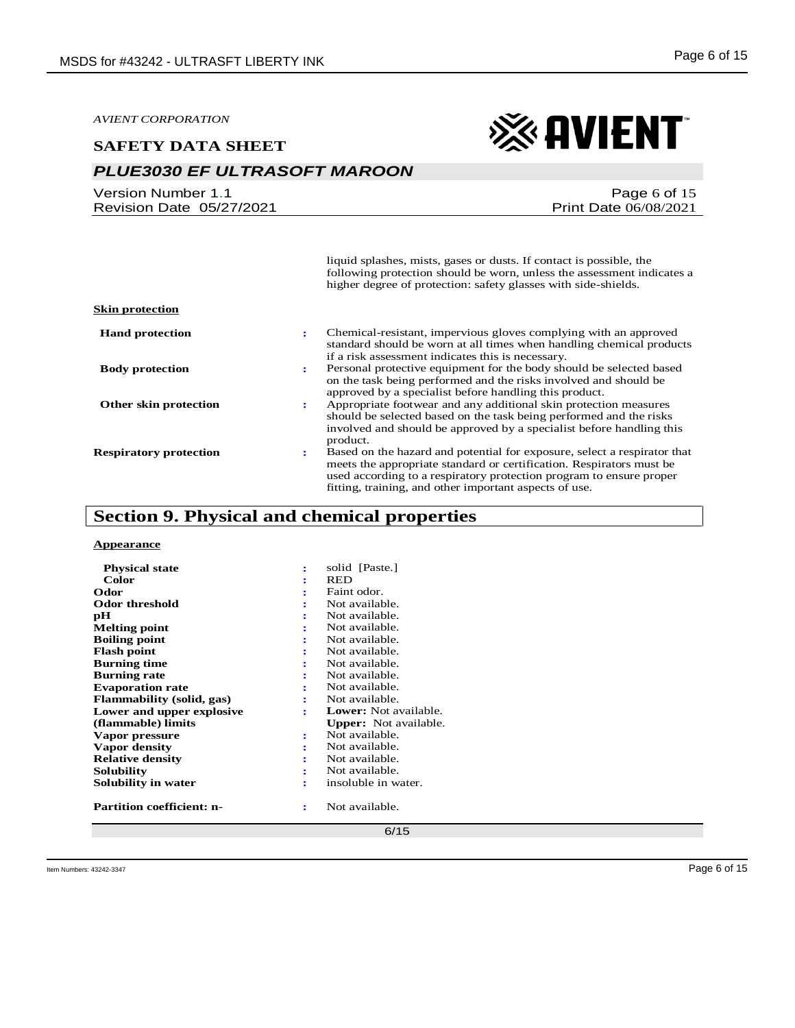#### **SAFETY DATA SHEET**

# *PLUE3030 EF ULTRASOFT MAROON*

Version Number 1.1 Revision Date 05/27/2021

# ※AVIENT

Page 6 of 15 Print Date 06/08/2021

liquid splashes, mists, gases or dusts. If contact is possible, the following protection should be worn, unless the assessment indicates a higher degree of protection: safety glasses with side-shields.

| <b>Skin protection</b>        |                                                                                                                                                                                                                                                                                         |
|-------------------------------|-----------------------------------------------------------------------------------------------------------------------------------------------------------------------------------------------------------------------------------------------------------------------------------------|
| <b>Hand protection</b>        | Chemical-resistant, impervious gloves complying with an approved<br>÷<br>standard should be worn at all times when handling chemical products<br>if a risk assessment indicates this is necessary.                                                                                      |
| <b>Body protection</b>        | Personal protective equipment for the body should be selected based<br>٠.<br>on the task being performed and the risks involved and should be<br>approved by a specialist before handling this product.                                                                                 |
| Other skin protection         | Appropriate footwear and any additional skin protection measures<br>should be selected based on the task being performed and the risks<br>involved and should be approved by a specialist before handling this<br>product.                                                              |
| <b>Respiratory protection</b> | Based on the hazard and potential for exposure, select a respirator that<br>٠.<br>meets the appropriate standard or certification. Respirators must be<br>used according to a respiratory protection program to ensure proper<br>fitting, training, and other important aspects of use. |

# **Section 9. Physical and chemical properties**

#### **Appearance**

| <b>Physical state</b><br>÷            | solid [Paste.]               |
|---------------------------------------|------------------------------|
|                                       |                              |
| Color                                 | <b>RED</b>                   |
| Odor                                  | Faint odor.                  |
| Odor threshold                        | Not available.               |
| рH                                    | Not available.               |
| <b>Melting point</b>                  | Not available.               |
| <b>Boiling point</b>                  | Not available.               |
| <b>Flash point</b><br>÷               | Not available.               |
| <b>Burning time</b>                   | Not available.               |
| <b>Burning rate</b>                   | Not available.               |
| <b>Evaporation rate</b>               | Not available.               |
| <b>Flammability (solid, gas)</b>      | Not available.               |
| Lower and upper explosive             | <b>Lower:</b> Not available. |
| (flammable) limits                    | <b>Upper:</b> Not available. |
| Vapor pressure<br>÷                   | Not available.               |
| Vapor density<br>÷                    | Not available.               |
| <b>Relative density</b>               | Not available.               |
| Solubility                            | Not available.               |
| Solubility in water<br>÷              | insoluble in water.          |
| <b>Partition coefficient: n-</b><br>÷ | Not available.               |

6/15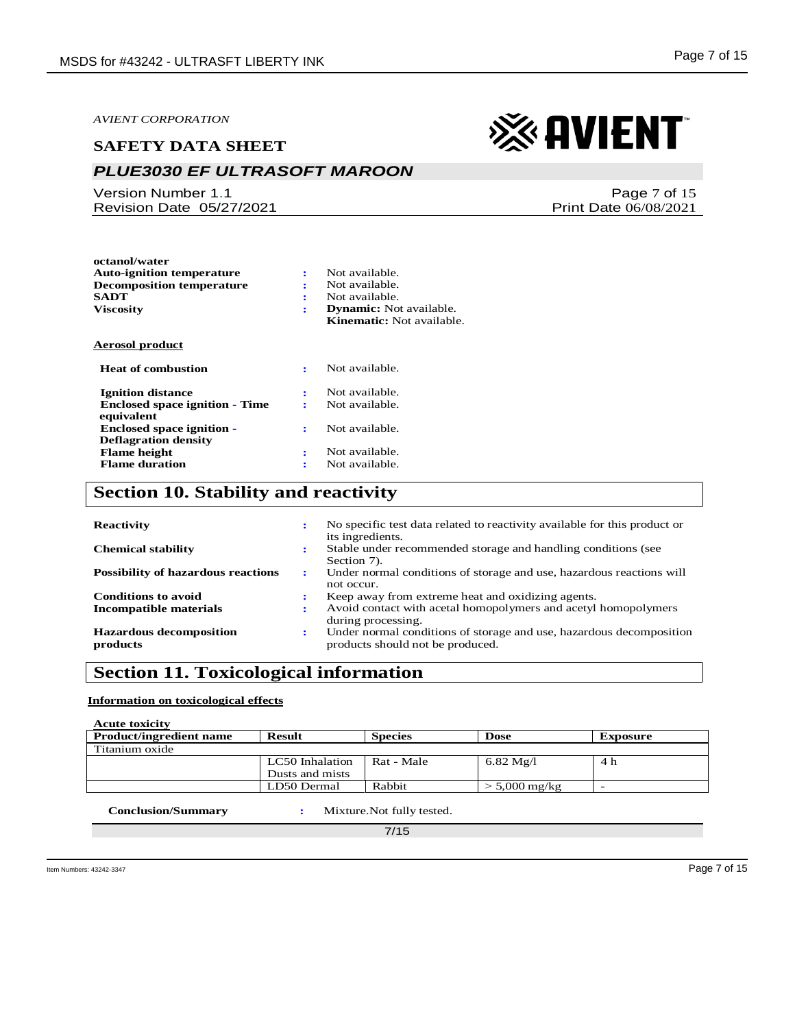**octanol/water**

### **SAFETY DATA SHEET**

# *PLUE3030 EF ULTRASOFT MAROON*

Version Number 1.1 Revision Date 05/27/2021 ※AVIENT

Page 7 of 15 Print Date 06/08/2021

| <b>Auto-ignition temperature</b>      | ÷                    | Not available.                 |
|---------------------------------------|----------------------|--------------------------------|
| <b>Decomposition temperature</b>      | ÷                    | Not available.                 |
| <b>SADT</b>                           | ÷                    | Not available.                 |
| <b>Viscosity</b>                      | ÷                    | <b>Dynamic:</b> Not available. |
|                                       |                      | Kinematic: Not available.      |
| Aerosol product                       |                      |                                |
| <b>Heat of combustion</b>             | ÷                    | Not available.                 |
| <b>Ignition distance</b>              | ÷                    | Not available.                 |
| <b>Enclosed space ignition - Time</b> | ÷                    | Not available.                 |
| equivalent                            |                      |                                |
| <b>Enclosed space ignition -</b>      | ÷                    | Not available.                 |
| <b>Deflagration density</b>           |                      |                                |
| <b>Flame height</b>                   | ÷                    | Not available.                 |
| <b>Flame duration</b>                 | $\ddot{\phantom{a}}$ | Not available.                 |

# **Section 10. Stability and reactivity**

| <b>Reactivity</b>                          | ÷         | No specific test data related to reactivity available for this product or<br>its ingredients.           |
|--------------------------------------------|-----------|---------------------------------------------------------------------------------------------------------|
| <b>Chemical stability</b>                  | ٠         | Stable under recommended storage and handling conditions (see<br>Section 7).                            |
| <b>Possibility of hazardous reactions</b>  | ٠.        | Under normal conditions of storage and use, hazardous reactions will<br>not occur.                      |
| <b>Conditions to avoid</b>                 | $\bullet$ | Keep away from extreme heat and oxidizing agents.                                                       |
| <b>Incompatible materials</b>              | :         | Avoid contact with acetal homopolymers and acetyl homopolymers<br>during processing.                    |
| <b>Hazardous decomposition</b><br>products | ÷         | Under normal conditions of storage and use, hazardous decomposition<br>products should not be produced. |

# **Section 11. Toxicological information**

#### **Information on toxicological effects**

**Acute toxicity**

| <b>Product/ingredient name</b> | <b>Result</b>   | <b>Species</b> | Dose                       | Exposure |
|--------------------------------|-----------------|----------------|----------------------------|----------|
| Titanium oxide                 |                 |                |                            |          |
|                                | LC50 Inhalation | Rat - Male     | $6.82 \text{ Mg}/l$        | 4 h      |
|                                | Dusts and mists |                |                            |          |
|                                | LD50 Dermal     | Rabbit         | $> 5,000 \,\mathrm{mg/kg}$ |          |
|                                |                 |                |                            |          |

 **Conclusion/Summary :** Mixture.Not fully tested.

7/15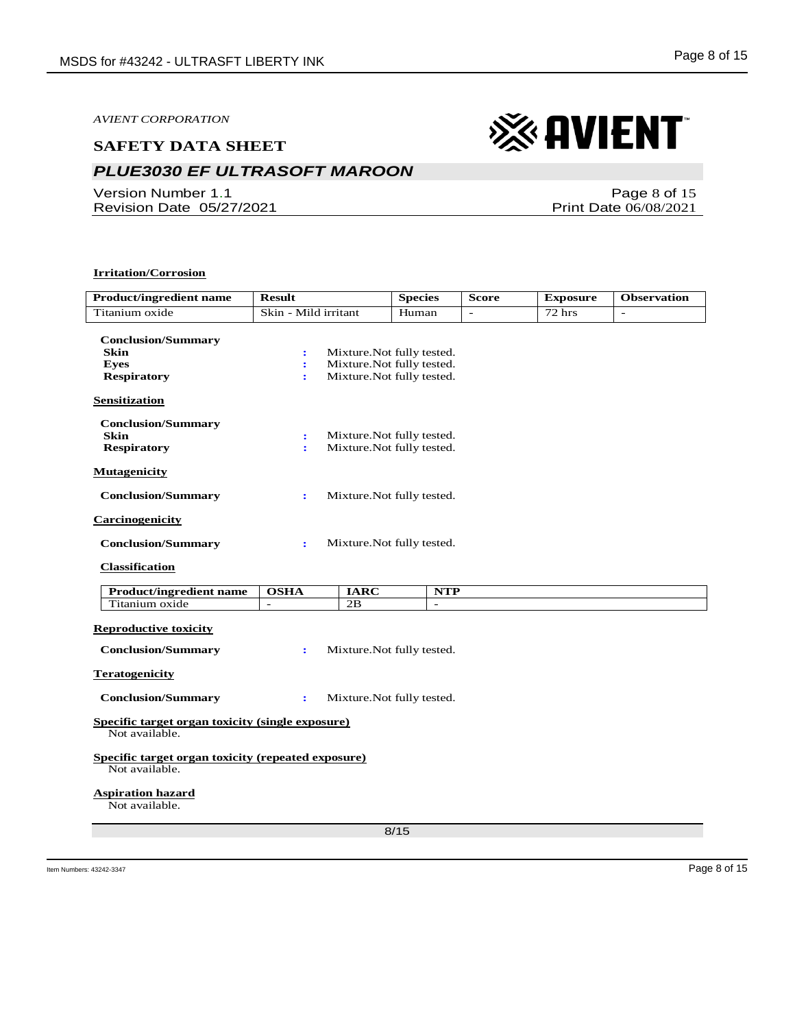### **SAFETY DATA SHEET**

# *PLUE3030 EF ULTRASOFT MAROON*

Version Number 1.1 Revision Date 05/27/2021

Page 8 of 15 Print Date 06/08/2021

#### **Irritation/Corrosion**

| <b>Product/ingredient name</b>                                                | <b>Result</b>                               |             | <b>Species</b>                                                                         | <b>Score</b>   | <b>Exposure</b> | <b>Observation</b> |
|-------------------------------------------------------------------------------|---------------------------------------------|-------------|----------------------------------------------------------------------------------------|----------------|-----------------|--------------------|
| Titanium oxide                                                                | Skin - Mild irritant                        |             | Human                                                                                  | $\overline{a}$ | 72 hrs          | $\overline{a}$     |
| <b>Conclusion/Summary</b><br><b>Skin</b><br><b>Eyes</b><br><b>Respiratory</b> | $\ddot{\phantom{a}}$<br>$\ddot{\cdot}$<br>÷ |             | Mixture. Not fully tested.<br>Mixture. Not fully tested.<br>Mixture. Not fully tested. |                |                 |                    |
| <b>Sensitization</b>                                                          |                                             |             |                                                                                        |                |                 |                    |
| <b>Conclusion/Summary</b><br><b>Skin</b><br><b>Respiratory</b>                | $\ddot{\cdot}$<br>÷                         |             | Mixture. Not fully tested.<br>Mixture.Not fully tested.                                |                |                 |                    |
| <b>Mutagenicity</b>                                                           |                                             |             |                                                                                        |                |                 |                    |
| <b>Conclusion/Summary</b>                                                     | ÷                                           |             | Mixture. Not fully tested.                                                             |                |                 |                    |
| <b>Carcinogenicity</b>                                                        |                                             |             |                                                                                        |                |                 |                    |
| <b>Conclusion/Summary</b>                                                     | ÷                                           |             | Mixture.Not fully tested.                                                              |                |                 |                    |
| <b>Classification</b>                                                         |                                             |             |                                                                                        |                |                 |                    |
| Product/ingredient name                                                       | <b>OSHA</b>                                 | <b>IARC</b> | <b>NTP</b>                                                                             |                |                 |                    |
| Titanium oxide                                                                | $\overline{\phantom{a}}$                    | 2B          | $\omega$                                                                               |                |                 |                    |
| <b>Reproductive toxicity</b><br><b>Conclusion/Summary</b>                     | ÷                                           |             | Mixture. Not fully tested.                                                             |                |                 |                    |
| <b>Teratogenicity</b>                                                         |                                             |             |                                                                                        |                |                 |                    |
| <b>Conclusion/Summary</b>                                                     | ÷                                           |             | Mixture. Not fully tested.                                                             |                |                 |                    |
| Specific target organ toxicity (single exposure)<br>Not available.            |                                             |             |                                                                                        |                |                 |                    |
| Specific target organ toxicity (repeated exposure)<br>Not available.          |                                             |             |                                                                                        |                |                 |                    |
| <b>Aspiration hazard</b><br>Not available.                                    |                                             |             |                                                                                        |                |                 |                    |
|                                                                               |                                             |             | 8/15                                                                                   |                |                 |                    |

# ※ AVIENT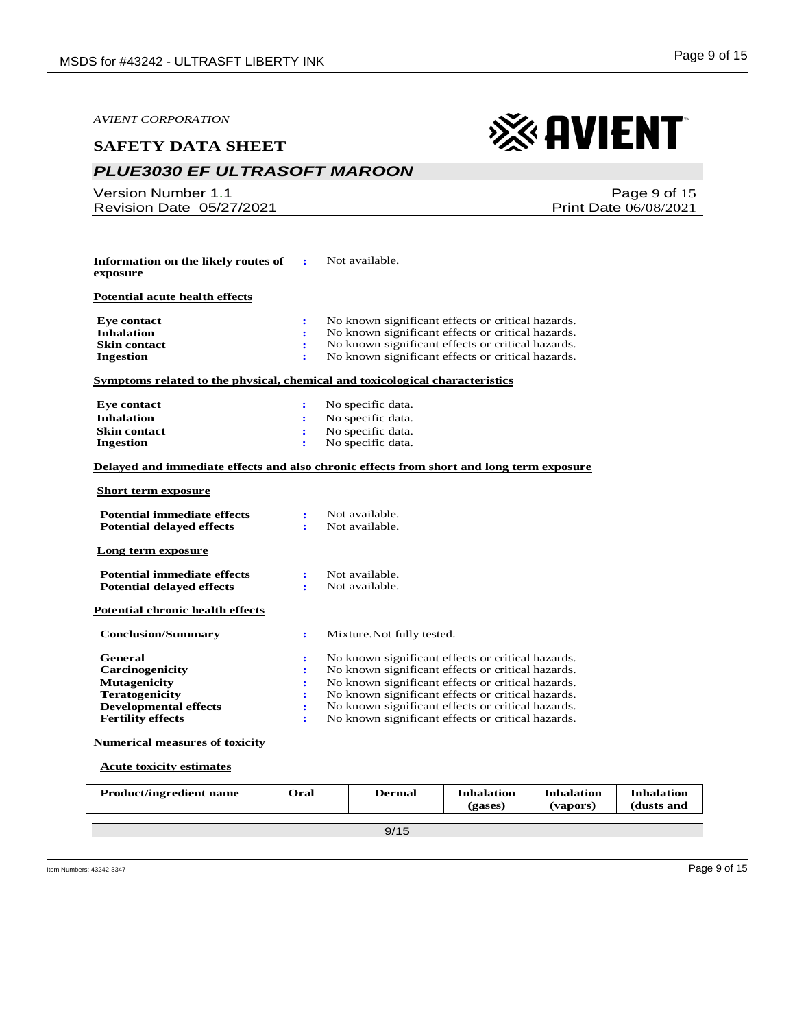| <i>AVIENT CORPORATION</i>                                                                                                                     |                                                                                                                                                                                                                                                                                                                                                                                                                           |
|-----------------------------------------------------------------------------------------------------------------------------------------------|---------------------------------------------------------------------------------------------------------------------------------------------------------------------------------------------------------------------------------------------------------------------------------------------------------------------------------------------------------------------------------------------------------------------------|
| <b>SAFETY DATA SHEET</b>                                                                                                                      | <b>&amp; AVIENT</b>                                                                                                                                                                                                                                                                                                                                                                                                       |
| <b>PLUE3030 EF ULTRASOFT MAROON</b>                                                                                                           |                                                                                                                                                                                                                                                                                                                                                                                                                           |
| Version Number 1.1<br>Revision Date 05/27/2021                                                                                                | Page 9 of 15<br><b>Print Date 06/08/2021</b>                                                                                                                                                                                                                                                                                                                                                                              |
|                                                                                                                                               |                                                                                                                                                                                                                                                                                                                                                                                                                           |
| Information on the likely routes of<br>exposure                                                                                               | Not available.<br>÷                                                                                                                                                                                                                                                                                                                                                                                                       |
| <b>Potential acute health effects</b>                                                                                                         |                                                                                                                                                                                                                                                                                                                                                                                                                           |
| <b>Eye contact</b><br><b>Inhalation</b><br><b>Skin contact</b><br><b>Ingestion</b>                                                            | No known significant effects or critical hazards.<br>$\ddot{\phantom{a}}$<br>No known significant effects or critical hazards.<br>÷<br>No known significant effects or critical hazards.<br>No known significant effects or critical hazards.                                                                                                                                                                             |
|                                                                                                                                               | Symptoms related to the physical, chemical and toxicological characteristics                                                                                                                                                                                                                                                                                                                                              |
| <b>Eye contact</b><br><b>Inhalation</b><br><b>Skin contact</b><br><b>Ingestion</b>                                                            | No specific data.<br>$\ddot{\cdot}$<br>No specific data.<br>÷<br>No specific data.<br>No specific data.                                                                                                                                                                                                                                                                                                                   |
|                                                                                                                                               | Delayed and immediate effects and also chronic effects from short and long term exposure                                                                                                                                                                                                                                                                                                                                  |
| <b>Short term exposure</b>                                                                                                                    |                                                                                                                                                                                                                                                                                                                                                                                                                           |
| <b>Potential immediate effects</b><br><b>Potential delayed effects</b>                                                                        | Not available.<br>÷<br>Not available.<br>÷                                                                                                                                                                                                                                                                                                                                                                                |
| Long term exposure                                                                                                                            |                                                                                                                                                                                                                                                                                                                                                                                                                           |
| <b>Potential immediate effects</b><br><b>Potential delayed effects</b>                                                                        | Not available.<br>÷<br>Not available.<br>÷                                                                                                                                                                                                                                                                                                                                                                                |
| Potential chronic health effects                                                                                                              |                                                                                                                                                                                                                                                                                                                                                                                                                           |
| <b>Conclusion/Summary</b>                                                                                                                     | Mixture. Not fully tested.<br>$\ddot{\cdot}$                                                                                                                                                                                                                                                                                                                                                                              |
| General<br><b>Carcinogenicity</b><br><b>Mutagenicity</b><br><b>Teratogenicity</b><br><b>Developmental effects</b><br><b>Fertility effects</b> | No known significant effects or critical hazards.<br>$\ddot{\cdot}$<br>No known significant effects or critical hazards.<br>$\ddot{\cdot}$<br>No known significant effects or critical hazards.<br>$\ddot{\cdot}$<br>No known significant effects or critical hazards.<br>$\ddot{\cdot}$<br>No known significant effects or critical hazards.<br>$\ddot{\cdot}$<br>No known significant effects or critical hazards.<br>÷ |
| <b>Numerical measures of toxicity</b>                                                                                                         |                                                                                                                                                                                                                                                                                                                                                                                                                           |
| <b>Acute toxicity estimates</b>                                                                                                               |                                                                                                                                                                                                                                                                                                                                                                                                                           |

| <b>Product/ingredient name</b> | <b>Dral</b> | Dermal | <b>Inhalation</b><br>(gases) | <b>Inhalation</b><br>(vapors) | <b>Inhalation</b><br>(dusts and |
|--------------------------------|-------------|--------|------------------------------|-------------------------------|---------------------------------|
|                                |             |        |                              |                               |                                 |
|                                |             | 9/15   |                              |                               |                                 |
|                                |             |        |                              |                               |                                 |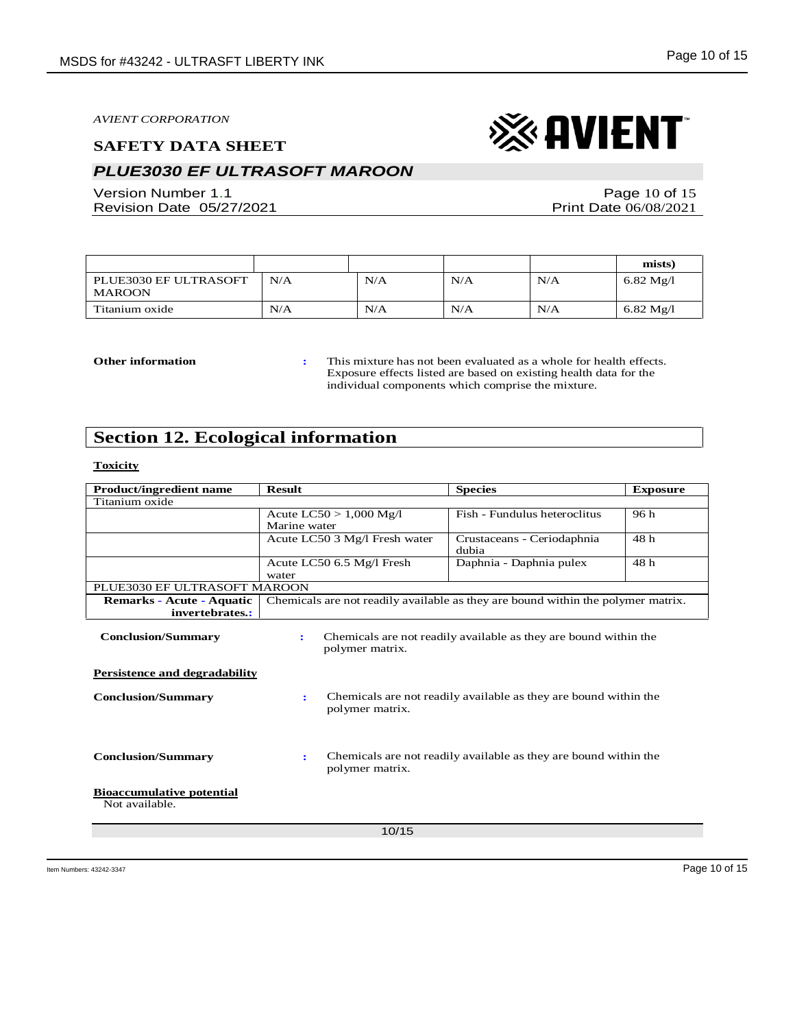#### **SAFETY DATA SHEET**

## *PLUE3030 EF ULTRASOFT MAROON*

Version Number 1.1 Revision Date 05/27/2021

Page 10 of 15 Print Date 06/08/2021

|                                        |     |     |     |     | mists)              |
|----------------------------------------|-----|-----|-----|-----|---------------------|
| PLUE3030 EF ULTRASOFT<br><b>MAROON</b> | N/A | N/A | N/A | N/A | $6.82 \text{ Mg}/l$ |
| Titanium oxide                         | N/A | N/A | N/A | N/A | $6.82 \text{ Mg}/l$ |

**Other information :** This mixture has not been evaluated as a whole for health effects. Exposure effects listed are based on existing health data for the individual components which comprise the mixture.

# **Section 12. Ecological information**

#### **Toxicity**

| Product/ingredient name                                           | <b>Result</b> |                               | <b>Species</b>                                                                   | <b>Exposure</b> |
|-------------------------------------------------------------------|---------------|-------------------------------|----------------------------------------------------------------------------------|-----------------|
| Titanium oxide                                                    |               |                               |                                                                                  |                 |
|                                                                   |               | Acute $LC50 > 1,000$ Mg/l     | Fish - Fundulus heteroclitus                                                     | 96 h            |
|                                                                   | Marine water  |                               |                                                                                  |                 |
|                                                                   |               | Acute LC50 3 Mg/l Fresh water | Crustaceans - Ceriodaphnia                                                       | 48 h            |
|                                                                   |               |                               | dubia                                                                            |                 |
|                                                                   |               | Acute LC50 6.5 Mg/l Fresh     | Daphnia - Daphnia pulex                                                          | 48 h            |
|                                                                   | water         |                               |                                                                                  |                 |
| PLUE3030 EF ULTRASOFT MAROON                                      |               |                               |                                                                                  |                 |
| Remarks - Acute - Aquatic                                         |               |                               | Chemicals are not readily available as they are bound within the polymer matrix. |                 |
| invertebrates.:                                                   |               |                               |                                                                                  |                 |
| <b>Conclusion/Summary</b><br><b>Persistence and degradability</b> | ÷             | polymer matrix.               | Chemicals are not readily available as they are bound within the                 |                 |
| <b>Conclusion/Summary</b>                                         | ÷             | polymer matrix.               | Chemicals are not readily available as they are bound within the                 |                 |
| <b>Conclusion/Summary</b>                                         | ÷             | polymer matrix.               | Chemicals are not readily available as they are bound within the                 |                 |
| <b>Bioaccumulative potential</b><br>Not available.                |               |                               |                                                                                  |                 |
| 10/15                                                             |               |                               |                                                                                  |                 |

# ※AVIENT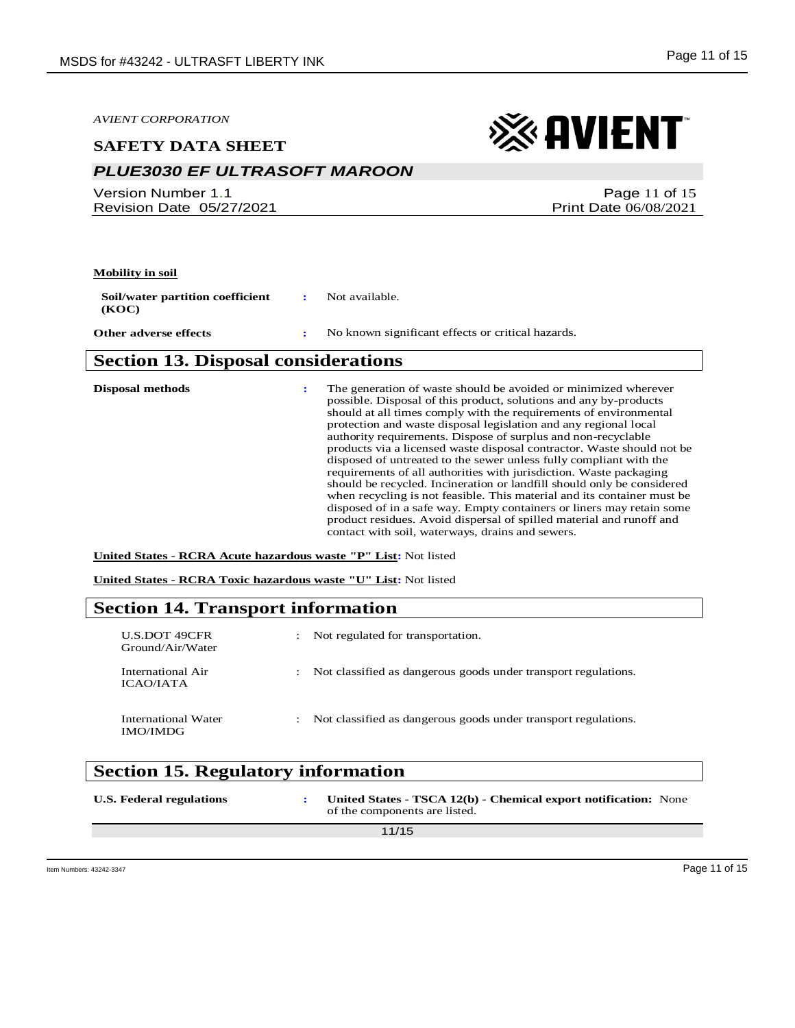### **SAFETY DATA SHEET**

# *PLUE3030 EF ULTRASOFT MAROON*

Version Number 1.1 Revision Date 05/27/2021

# ※ AVIENT

Page 11 of 15 Print Date 06/08/2021

#### **Mobility in soil**

**Soil/water partition coefficient (KOC) :** Not available.

**Other adverse effects :** No known significant effects or critical hazards.

## **Section 13. Disposal considerations**

**Disposal methods :** The generation of waste should be avoided or minimized wherever possible. Disposal of this product, solutions and any by-products should at all times comply with the requirements of environmental protection and waste disposal legislation and any regional local authority requirements. Dispose of surplus and non-recyclable products via a licensed waste disposal contractor. Waste should not be disposed of untreated to the sewer unless fully compliant with the requirements of all authorities with jurisdiction. Waste packaging should be recycled. Incineration or landfill should only be considered when recycling is not feasible. This material and its container must be disposed of in a safe way. Empty containers or liners may retain some product residues. Avoid dispersal of spilled material and runoff and contact with soil, waterways, drains and sewers.

**United States - RCRA Acute hazardous waste "P" List:** Not listed

**United States - RCRA Toxic hazardous waste "U" List:** Not listed

## **Section 14. Transport information**

| <b>U.S.DOT 49CFR</b><br>Ground/Air/Water | $\mathcal{L}$ | Not regulated for transportation.                              |
|------------------------------------------|---------------|----------------------------------------------------------------|
| International Air<br>ICAO/IATA           | $\mathcal{L}$ | Not classified as dangerous goods under transport regulations. |
| International Water<br><b>IMO/IMDG</b>   |               | Not classified as dangerous goods under transport regulations. |

## **Section 15. Regulatory information**

| <b>U.S. Federal regulations</b> | United States - TSCA 12(b) - Chemical export notification: None<br>of the components are listed. |
|---------------------------------|--------------------------------------------------------------------------------------------------|
|                                 | 11/15                                                                                            |
|                                 |                                                                                                  |

Item Numbers: 43242-3347 Page 11 of 15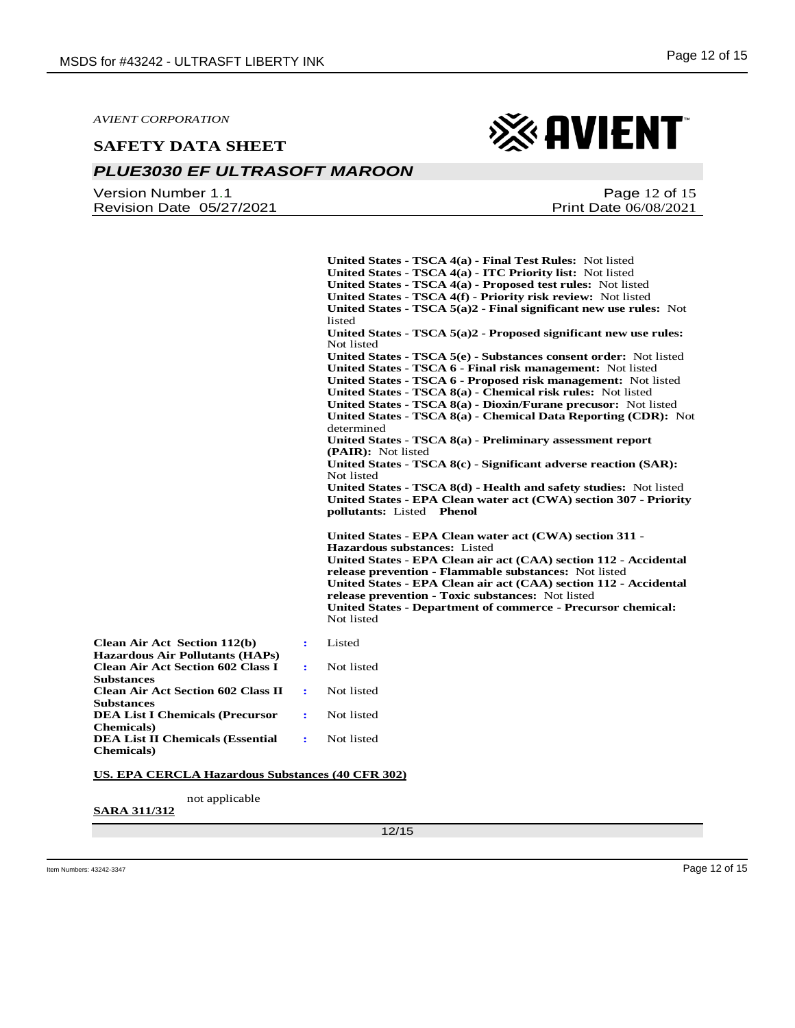#### **SAFETY DATA SHEET**

## *PLUE3030 EF ULTRASOFT MAROON*

Version Number 1.1 Revision Date 05/27/2021

Page 12 of 15 Print Date 06/08/2021

**United States - TSCA 4(a) - Final Test Rules:** Not listed **United States - TSCA 4(a) - ITC Priority list:** Not listed **United States - TSCA 4(a) - Proposed test rules:** Not listed **United States - TSCA 4(f) - Priority risk review:** Not listed **United States - TSCA 5(a)2 - Final significant new use rules:** Not listed **United States - TSCA 5(a)2 - Proposed significant new use rules:**  Not listed **United States - TSCA 5(e) - Substances consent order:** Not listed **United States - TSCA 6 - Final risk management:** Not listed **United States - TSCA 6 - Proposed risk management:** Not listed **United States - TSCA 8(a) - Chemical risk rules:** Not listed **United States - TSCA 8(a) - Dioxin/Furane precusor:** Not listed **United States - TSCA 8(a) - Chemical Data Reporting (CDR):** Not determined **United States - TSCA 8(a) - Preliminary assessment report (PAIR):** Not listed **United States - TSCA 8(c) - Significant adverse reaction (SAR):**  Not listed **United States - TSCA 8(d) - Health and safety studies:** Not listed **United States - EPA Clean water act (CWA) section 307 - Priority pollutants:** Listed **Phenol United States - EPA Clean water act (CWA) section 311 - Hazardous substances:** Listed **United States - EPA Clean air act (CAA) section 112 - Accidental release prevention - Flammable substances:** Not listed **United States - EPA Clean air act (CAA) section 112 - Accidental release prevention - Toxic substances:** Not listed **United States - Department of commerce - Precursor chemical:**  Not listed **Clean Air Act Section 112(b) Hazardous Air Pollutants (HAPs) :** Listed **Clean Air Act Section 602 Class I :** Not listed **Clean Air Act Section 602 Class II :** Not listed **DEA List I Chemicals (Precursor :** Not listed

**US. EPA CERCLA Hazardous Substances (40 CFR 302)**

not applicable

**DEA List II Chemicals (Essential** 

**SARA 311/312**

**Substances**

**Substances**

**Chemicals)**

**Chemicals)**

12/15



**:** Not listed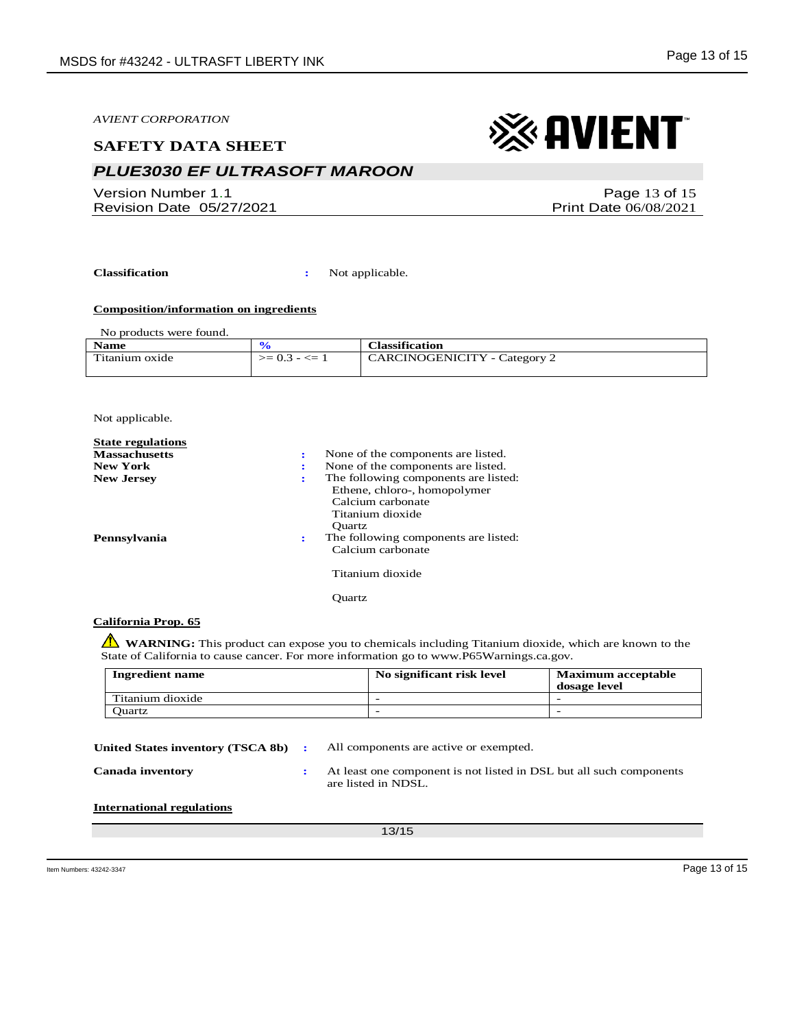### **SAFETY DATA SHEET**

## *PLUE3030 EF ULTRASOFT MAROON*

Version Number 1.1 Revision Date 05/27/2021

Page 13 of 15 Print Date 06/08/2021

**Classification :** Not applicable.

#### **Composition/information on ingredients**

No products were found.

| <b>Name</b>    |                   | <b>Classification</b>               |
|----------------|-------------------|-------------------------------------|
| Titanium oxide | $>= 0.3 - \leq 1$ | <b>CARCINOGENICITY</b> - Category 2 |
|                |                   |                                     |

Not applicable.

| <b>State regulations</b> |   |                                                                                                                                |
|--------------------------|---|--------------------------------------------------------------------------------------------------------------------------------|
| <b>Massachusetts</b>     | ÷ | None of the components are listed.                                                                                             |
| <b>New York</b>          | ÷ | None of the components are listed.                                                                                             |
| <b>New Jersey</b>        | ÷ | The following components are listed:<br>Ethene, chloro-, homopolymer<br>Calcium carbonate<br>Titanium dioxide<br><b>Ouartz</b> |
| Pennsylvania             | ÷ | The following components are listed:<br>Calcium carbonate                                                                      |
|                          |   | Titanium dioxide                                                                                                               |
|                          |   | Ouartz                                                                                                                         |

#### **California Prop. 65**

**WARNING**: This product can expose you to chemicals including Titanium dioxide, which are known to the State of California to cause cancer. For more information go to www.P65Warnings.ca.gov.

| <b>Ingredient name</b> | No significant risk level | <b>Maximum acceptable</b><br>dosage level |
|------------------------|---------------------------|-------------------------------------------|
| Titanium dioxide       | $\overline{\phantom{a}}$  |                                           |
| <b>Duartz</b>          | $\overline{\phantom{a}}$  |                                           |

13/15 **United States inventory (TSCA 8b) :** All components are active or exempted. **Canada inventory :** At least one component is not listed in DSL but all such components are listed in NDSL. **International regulations**

Item Numbers: 43242-3347 Page 13 of 15

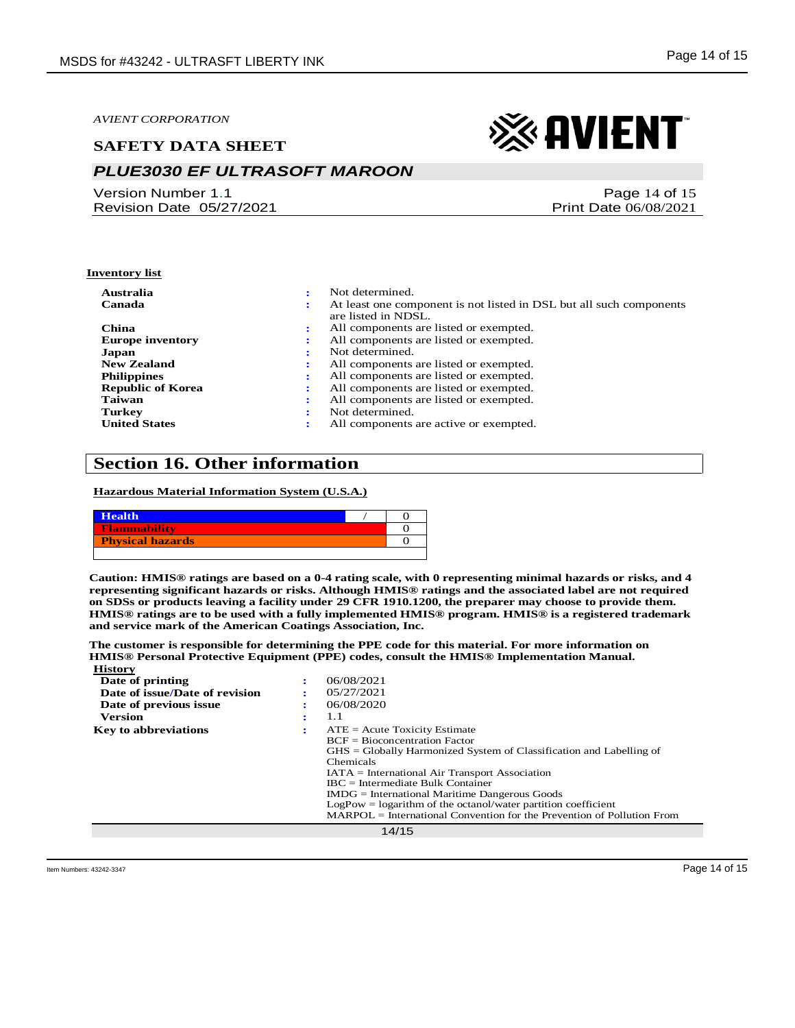#### **SAFETY DATA SHEET**

## *PLUE3030 EF ULTRASOFT MAROON*

Version Number 1.1 Revision Date 05/27/2021

# ※ AVIENT

Page 14 of 15 Print Date 06/08/2021

#### **Inventory list**

| Australia                |    | Not determined.                                                                            |
|--------------------------|----|--------------------------------------------------------------------------------------------|
| Canada                   | ٠. | At least one component is not listed in DSL but all such components<br>are listed in NDSL. |
| China                    |    | All components are listed or exempted.                                                     |
| <b>Europe inventory</b>  |    | All components are listed or exempted.                                                     |
| Japan                    |    | Not determined.                                                                            |
| <b>New Zealand</b>       |    | All components are listed or exempted.                                                     |
| <b>Philippines</b>       |    | All components are listed or exempted.                                                     |
| <b>Republic of Korea</b> |    | All components are listed or exempted.                                                     |
| <b>Taiwan</b>            |    | All components are listed or exempted.                                                     |
| <b>Turkey</b>            |    | Not determined.                                                                            |
| <b>United States</b>     | ÷  | All components are active or exempted.                                                     |

## **Section 16. Other information**

**Hazardous Material Information System (U.S.A.)**

| <b>Health</b>           |  |
|-------------------------|--|
| <b>Flammability</b>     |  |
| <b>Physical hazards</b> |  |
|                         |  |

**Caution: HMIS® ratings are based on a 0-4 rating scale, with 0 representing minimal hazards or risks, and 4 representing significant hazards or risks. Although HMIS® ratings and the associated label are not required on SDSs or products leaving a facility under 29 CFR 1910.1200, the preparer may choose to provide them. HMIS® ratings are to be used with a fully implemented HMIS® program. HMIS® is a registered trademark and service mark of the American Coatings Association, Inc.**

**The customer is responsible for determining the PPE code for this material. For more information on HMIS® Personal Protective Equipment (PPE) codes, consult the HMIS® Implementation Manual. History**

| <b>AAASLUL V</b>               |                                                                          |
|--------------------------------|--------------------------------------------------------------------------|
| Date of printing               | 06/08/2021                                                               |
| Date of issue/Date of revision | 05/27/2021                                                               |
| Date of previous issue         | 06/08/2020                                                               |
| <b>Version</b>                 | 1.1                                                                      |
| <b>Key to abbreviations</b>    | $ATE = Acute Toxicity Estimate$                                          |
|                                | $BCF = Bioconcentration Factor$                                          |
|                                | $GHS = Globally Harmonized System of Classification and Labelling of$    |
|                                | <b>Chemicals</b>                                                         |
|                                | $IATA = International Air Transport Association$                         |
|                                | $\text{IRC}$ = Intermediate Bulk Container                               |
|                                | $IMDG = International\,$ Maritime Dangerous Goods                        |
|                                | $LogPow = logarithm$ of the octanol/water partition coefficient          |
|                                | $MARPOL = International Convention for the Prevention of Pollution From$ |
|                                | 14/15                                                                    |
|                                |                                                                          |